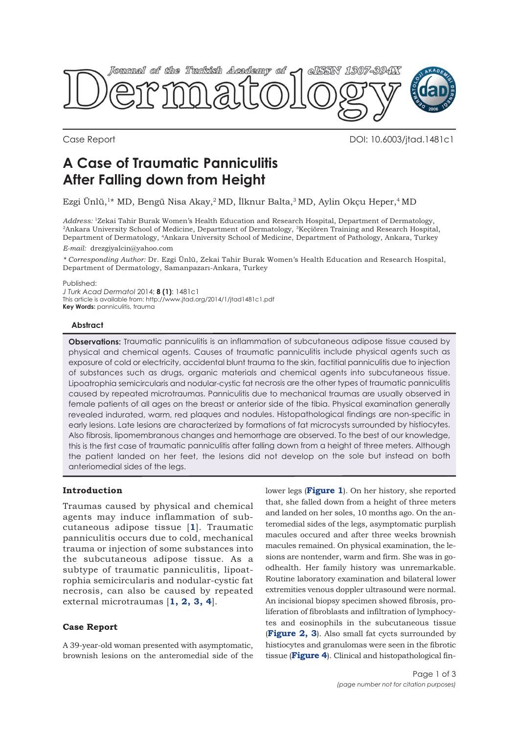

Case Report DOI: 10.6003/jtad.1481c1

# **A Case of Traumatic Panniculitis After Falling down from Height**

Ezgi Ünlü,1\* MD, Bengü Nisa Akay,2 MD, İlknur Balta,3 MD, Aylin Okçu Heper,4 MD

*Address:* 1Zekai Tahir Burak Women's Health Education and Research Hospital, Department of Dermatology, <sup>2</sup>Ankara University School of Medicine, Department of Dermatology, <sup>3</sup>Keçiören Training and Research Hospital, Department of Dermatology, 4Ankara University School of Medicine, Department of Pathology, Ankara, Turkey

*E-mail:* drezgiyalcin@yahoo.com

*\* Corresponding Author:* Dr. Ezgi Ünlü, Zekai Tahir Burak Women's Health Education and Research Hospital, Department of Dermatology, Samanpazarı-Ankara, Turkey

Published:

*J Turk Acad Dermatol* 2014; **8 (1)**: 1481c1 This article is available from: http://www.jtad.org/2014/1/jtad1481c1.pdf

**Key Words: panniculitis, traumal** 

#### **Abstract**

**Observations:** Traumatic panniculitis is an inflammation of subcutaneous adipose tissue caused by physical and chemical agents. Causes of traumatic panniculitis include physical agents such as exposure of cold or electricity, accidental blunt trauma to the skin, factitial panniculitis due to injection of substances such as drugs, organic materials and chemical agents into subcutaneous tissue. Lipoatrophia semicircularis and nodular-cystic fat necrosis are the other types of traumatic panniculitis caused by repeated microtraumas. Panniculitis due to mechanical traumas are usually observed in female patients of all ages on the breast or anterior side of the tibia. Physical examination generally revealed indurated, warm, red plaques and nodules. Histopathological findings are non-specific in early lesions. Late lesions are characterized by formations of fat microcysts surrounded by histiocytes. Also fibrosis, lipomembranous changes and hemorrhage are observed. To the best of our knowledge, this is the first case of traumatic panniculitis after falling down from a height of three meters. Although the patient landed on her feet, the lesions did not develop on the sole but instead on both anteriomedial sides of the legs.

## **Introduction**

Traumas caused by physical and chemical agents may induce inflammation of subcutaneous adipose tissue [**1**]. Traumatic panniculitis occurs due to cold, mechanical trauma or injection of some substances into the subcutaneous adipose tissue. As a subtype of traumatic panniculitis, lipoatrophia semicircularis and nodular-cystic fat necrosis, can also be caused by repeated external microtraumas [**1, 2, 3, 4**].

## **Case Report**

A 39-year-old woman presented with asymptomatic, brownish lesions on the anteromedial side of the lower legs (**Figure 1**). On her history, she reported that, she falled down from a height of three meters and landed on her soles, 10 months ago. On the anteromedial sides of the legs, asymptomatic purplish macules occured and after three weeks brownish macules remained. On physical examination, the lesions are nontender, warm and firm. She was in goodhealth. Her family history was unremarkable. Routine laboratory examination and bilateral lower extremities venous doppler ultrasound were normal. An incisional biopsy specimen showed fibrosis, proliferation of fibroblasts and infiltration of lymphocytes and eosinophils in the subcutaneous tissue (**Figure 2, 3**). Also small fat cycts surrounded by histiocytes and granulomas were seen in the fibrotic tissue (**Figure 4**). Clinical and histopathological fin-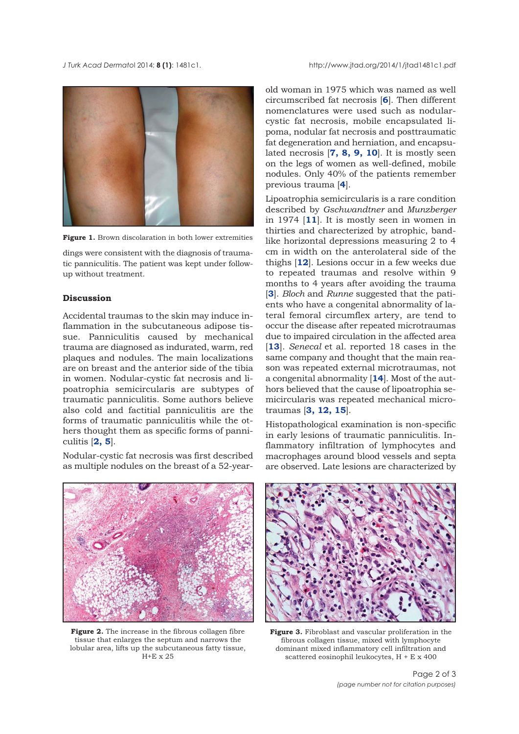

**Figure 1.** Brown discolaration in both lower extremities

dings were consistent with the diagnosis of traumatic panniculitis. The patient was kept under followup without treatment.

## **Discussion**

Accidental traumas to the skin may induce inflammation in the subcutaneous adipose tissue. Panniculitis caused by mechanical trauma are diagnosed as indurated, warm, red plaques and nodules. The main localizations are on breast and the anterior side of the tibia in women. Nodular-cystic fat necrosis and lipoatrophia semicircularis are subtypes of traumatic panniculitis. Some authors believe also cold and factitial panniculitis are the forms of traumatic panniculitis while the others thought them as specific forms of panniculitis [**2, 5**].

Nodular-cystic fat necrosis was first described as multiple nodules on the breast of a 52-year-

old woman in 1975 which was named as well circumscribed fat necrosis [**6**]. Then different nomenclatures were used such as nodularcystic fat necrosis, mobile encapsulated lipoma, nodular fat necrosis and posttraumatic fat degeneration and herniation, and encapsulated necrosis [**7, 8, 9, 10**]. It is mostly seen on the legs of women as well-defined, mobile nodules. Only 40% of the patients remember previous trauma [**4**].

Lipoatrophia semicircularis is a rare condition described by *Gschwandtner* and *Munzberger* in 1974 [**11**]. It is mostly seen in women in thirties and charecterized by atrophic, bandlike horizontal depressions measuring 2 to 4 cm in width on the anterolateral side of the thighs [**12**]. Lesions occur in a few weeks due to repeated traumas and resolve within 9 months to 4 years after avoiding the trauma [**3**]. *Bloch* and *Runne* suggested that the patients who have a congenital abnormality of lateral femoral circumflex artery, are tend to occur the disease after repeated microtraumas due to impaired circulation in the affected area [**13**]. *Senecal* et al. reported 18 cases in the same company and thought that the main reason was repeated external microtraumas, not a congenital abnormality [**14**]. Most of the authors believed that the cause of lipoatrophia semicircularis was repeated mechanical microtraumas [**3, 12, 15**].

Histopathological examination is non-specific in early lesions of traumatic panniculitis. Inflammatory infiltration of lymphocytes and macrophages around blood vessels and septa are observed. Late lesions are characterized by



**Figure 2.** The increase in the fibrous collagen fibre tissue that enlarges the septum and narrows the lobular area, lifts up the subcutaneous fatty tissue,  $H+E \times 25$ 



**Figure 3.** Fibroblast and vascular proliferation in the fibrous collagen tissue, mixed with lymphocyte dominant mixed inflammatory cell infiltration and scattered eosinophil leukocytes, H + E x 400